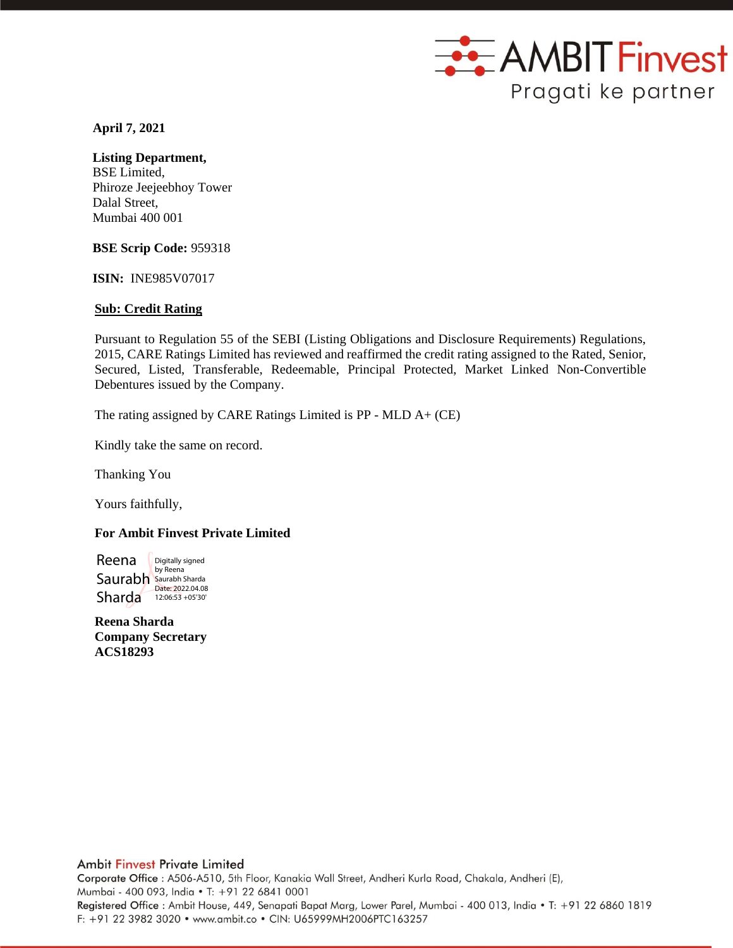

 **April 7, 2021**

# **Listing Department,**

BSE Limited, Phiroze Jeejeebhoy Tower Dalal Street, Mumbai 400 001

**BSE Scrip Code:** 959318

**ISIN:** INE985V07017

## **Sub: Credit Rating**

Pursuant to Regulation 55 of the SEBI (Listing Obligations and Disclosure Requirements) Regulations, 2015, CARE Ratings Limited has reviewed and reaffirmed the credit rating assigned to the Rated, Senior, Secured, Listed, Transferable, Redeemable, Principal Protected, Market Linked Non-Convertible Debentures issued by the Company.

The rating assigned by CARE Ratings Limited is PP - MLD A+ (CE)

Kindly take the same on record.

Thanking You

Yours faithfully,

## **For Ambit Finvest Private Limited**

Reena Saurabh Saurabh Sharda Sharda 12:06:53 +05'30' Digitally signed by Reena

**Reena Sharda Company Secretary ACS18293**

## **Ambit Finvest Private Limited**

Corporate Office : A506-A510, 5th Floor, Kanakia Wall Street, Andheri Kurla Road, Chakala, Andheri (E), Mumbai - 400 093, India • T: +91 22 6841 0001 Registered Office: Ambit House, 449, Senapati Bapat Marg, Lower Parel, Mumbai - 400 013, India . T: +91 22 6860 1819 F: +91 22 3982 3020 · www.ambit.co · CIN: U65999MH2006PTC163257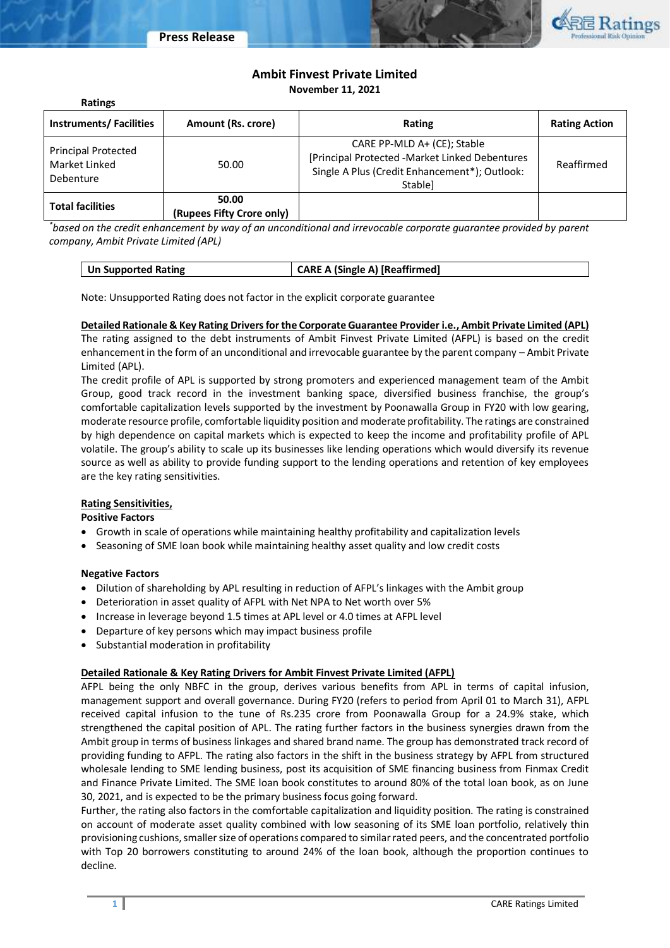

# **Ambit Finvest Private Limited November 11, 2021**

| <b>Ratings</b>                                           |                                    |                                                                                                                                           |                      |
|----------------------------------------------------------|------------------------------------|-------------------------------------------------------------------------------------------------------------------------------------------|----------------------|
| <b>Instruments/Facilities</b>                            | Amount (Rs. crore)                 | Rating                                                                                                                                    | <b>Rating Action</b> |
| <b>Principal Protected</b><br>Market Linked<br>Debenture | 50.00                              | CARE PP-MLD A+ (CE); Stable<br>[Principal Protected -Market Linked Debentures<br>Single A Plus (Credit Enhancement*); Outlook:<br>Stable] | Reaffirmed           |
| <b>Total facilities</b>                                  | 50.00<br>(Rupees Fifty Crore only) |                                                                                                                                           |                      |

*\*based on the credit enhancement by way of an unconditional and irrevocable corporate guarantee provided by parent company, Ambit Private Limited (APL)*

| <b>CARE A (Single A) [Reaffirmed]</b><br>Un Supported Rating |
|--------------------------------------------------------------|
|--------------------------------------------------------------|

Note: Unsupported Rating does not factor in the explicit corporate guarantee

## **Detailed Rationale & Key Rating Drivers for the Corporate Guarantee Provider i.e., Ambit Private Limited (APL)**

The rating assigned to the debt instruments of Ambit Finvest Private Limited (AFPL) is based on the credit enhancement in the form of an unconditional and irrevocable guarantee by the parent company – Ambit Private Limited (APL).

The credit profile of APL is supported by strong promoters and experienced management team of the Ambit Group, good track record in the investment banking space, diversified business franchise, the group's comfortable capitalization levels supported by the investment by Poonawalla Group in FY20 with low gearing, moderate resource profile, comfortable liquidity position and moderate profitability. The ratings are constrained by high dependence on capital markets which is expected to keep the income and profitability profile of APL volatile. The group's ability to scale up its businesses like lending operations which would diversify its revenue source as well as ability to provide funding support to the lending operations and retention of key employees are the key rating sensitivities.

## **Rating Sensitivities,**

**Positive Factors**

- Growth in scale of operations while maintaining healthy profitability and capitalization levels
- Seasoning of SME loan book while maintaining healthy asset quality and low credit costs

## **Negative Factors**

- Dilution of shareholding by APL resulting in reduction of AFPL's linkages with the Ambit group
- Deterioration in asset quality of AFPL with Net NPA to Net worth over 5%
- Increase in leverage beyond 1.5 times at APL level or 4.0 times at AFPL level
- Departure of key persons which may impact business profile
- Substantial moderation in profitability

## **Detailed Rationale & Key Rating Drivers for Ambit Finvest Private Limited (AFPL)**

AFPL being the only NBFC in the group, derives various benefits from APL in terms of capital infusion, management support and overall governance. During FY20 (refers to period from April 01 to March 31), AFPL received capital infusion to the tune of Rs.235 crore from Poonawalla Group for a 24.9% stake, which strengthened the capital position of APL. The rating further factors in the business synergies drawn from the Ambit group in terms of business linkages and shared brand name. The group has demonstrated track record of providing funding to AFPL. The rating also factors in the shift in the business strategy by AFPL from structured wholesale lending to SME lending business, post its acquisition of SME financing business from Finmax Credit and Finance Private Limited. The SME loan book constitutes to around 80% of the total loan book, as on June 30, 2021, and is expected to be the primary business focus going forward.

Further, the rating also factors in the comfortable capitalization and liquidity position. The rating is constrained on account of moderate asset quality combined with low seasoning of its SME loan portfolio, relatively thin provisioning cushions, smaller size of operations compared to similar rated peers, and the concentrated portfolio with Top 20 borrowers constituting to around 24% of the loan book, although the proportion continues to decline.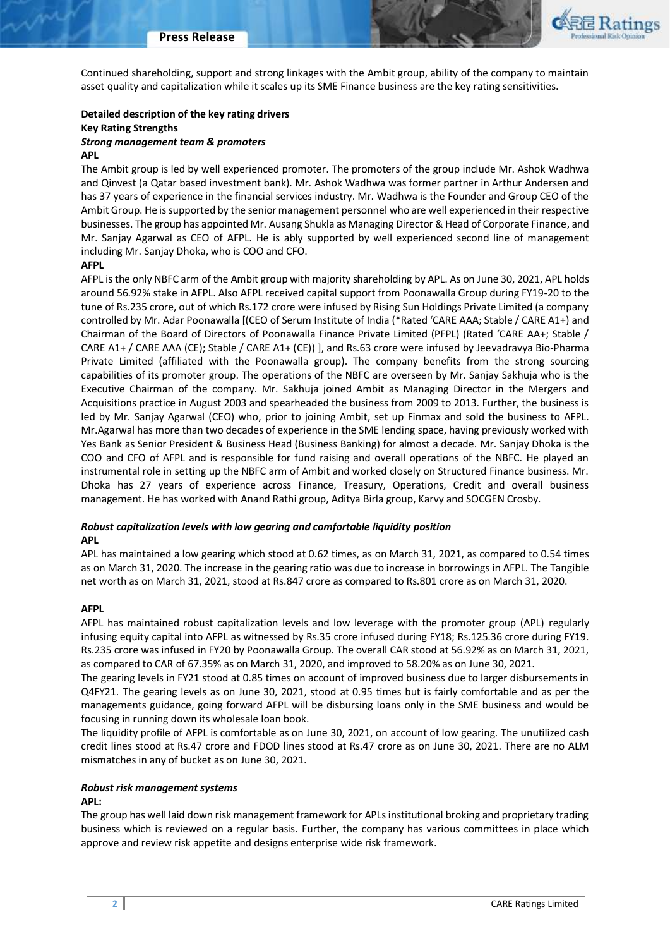

Continued shareholding, support and strong linkages with the Ambit group, ability of the company to maintain asset quality and capitalization while it scales up its SME Finance business are the key rating sensitivities.

## **Detailed description of the key rating drivers Key Rating Strengths** *Strong management team & promoters*

#### **APL**

The Ambit group is led by well experienced promoter. The promoters of the group include Mr. Ashok Wadhwa and Qinvest (a Qatar based investment bank). Mr. Ashok Wadhwa was former partner in Arthur Andersen and has 37 years of experience in the financial services industry. Mr. Wadhwa is the Founder and Group CEO of the Ambit Group. He is supported by the senior management personnel who are well experienced in their respective businesses. The group has appointed Mr. Ausang Shukla as Managing Director & Head of Corporate Finance, and Mr. Sanjay Agarwal as CEO of AFPL. He is ably supported by well experienced second line of management including Mr. Sanjay Dhoka, who is COO and CFO.

#### **AFPL**

AFPL is the only NBFC arm of the Ambit group with majority shareholding by APL. As on June 30, 2021, APL holds around 56.92% stake in AFPL. Also AFPL received capital support from Poonawalla Group during FY19-20 to the tune of Rs.235 crore, out of which Rs.172 crore were infused by Rising Sun Holdings Private Limited (a company controlled by Mr. Adar Poonawalla [(CEO of Serum Institute of India (\*Rated 'CARE AAA; Stable / CARE A1+) and Chairman of the Board of Directors of Poonawalla Finance Private Limited (PFPL) (Rated 'CARE AA+; Stable / CARE A1+ / CARE AAA (CE); Stable / CARE A1+ (CE)) ], and Rs.63 crore were infused by Jeevadravya Bio-Pharma Private Limited (affiliated with the Poonawalla group). The company benefits from the strong sourcing capabilities of its promoter group. The operations of the NBFC are overseen by Mr. Sanjay Sakhuja who is the Executive Chairman of the company. Mr. Sakhuja joined Ambit as Managing Director in the Mergers and Acquisitions practice in August 2003 and spearheaded the business from 2009 to 2013. Further, the business is led by Mr. Sanjay Agarwal (CEO) who, prior to joining Ambit, set up Finmax and sold the business to AFPL. Mr.Agarwal has more than two decades of experience in the SME lending space, having previously worked with Yes Bank as Senior President & Business Head (Business Banking) for almost a decade. Mr. Sanjay Dhoka is the COO and CFO of AFPL and is responsible for fund raising and overall operations of the NBFC. He played an instrumental role in setting up the NBFC arm of Ambit and worked closely on Structured Finance business. Mr. Dhoka has 27 years of experience across Finance, Treasury, Operations, Credit and overall business management. He has worked with Anand Rathi group, Aditya Birla group, Karvy and SOCGEN Crosby.

#### *Robust capitalization levels with low gearing and comfortable liquidity position* **APL**

APL has maintained a low gearing which stood at 0.62 times, as on March 31, 2021, as compared to 0.54 times as on March 31, 2020. The increase in the gearing ratio was due to increase in borrowings in AFPL. The Tangible net worth as on March 31, 2021, stood at Rs.847 crore as compared to Rs.801 crore as on March 31, 2020.

#### **AFPL**

AFPL has maintained robust capitalization levels and low leverage with the promoter group (APL) regularly infusing equity capital into AFPL as witnessed by Rs.35 crore infused during FY18; Rs.125.36 crore during FY19. Rs.235 crore was infused in FY20 by Poonawalla Group. The overall CAR stood at 56.92% as on March 31, 2021, as compared to CAR of 67.35% as on March 31, 2020, and improved to 58.20% as on June 30, 2021.

The gearing levels in FY21 stood at 0.85 times on account of improved business due to larger disbursements in Q4FY21. The gearing levels as on June 30, 2021, stood at 0.95 times but is fairly comfortable and as per the managements guidance, going forward AFPL will be disbursing loans only in the SME business and would be focusing in running down its wholesale loan book.

The liquidity profile of AFPL is comfortable as on June 30, 2021, on account of low gearing. The unutilized cash credit lines stood at Rs.47 crore and FDOD lines stood at Rs.47 crore as on June 30, 2021. There are no ALM mismatches in any of bucket as on June 30, 2021.

#### *Robust risk management systems*

#### **APL:**

The group has well laid down risk management framework for APLs institutional broking and proprietary trading business which is reviewed on a regular basis. Further, the company has various committees in place which approve and review risk appetite and designs enterprise wide risk framework.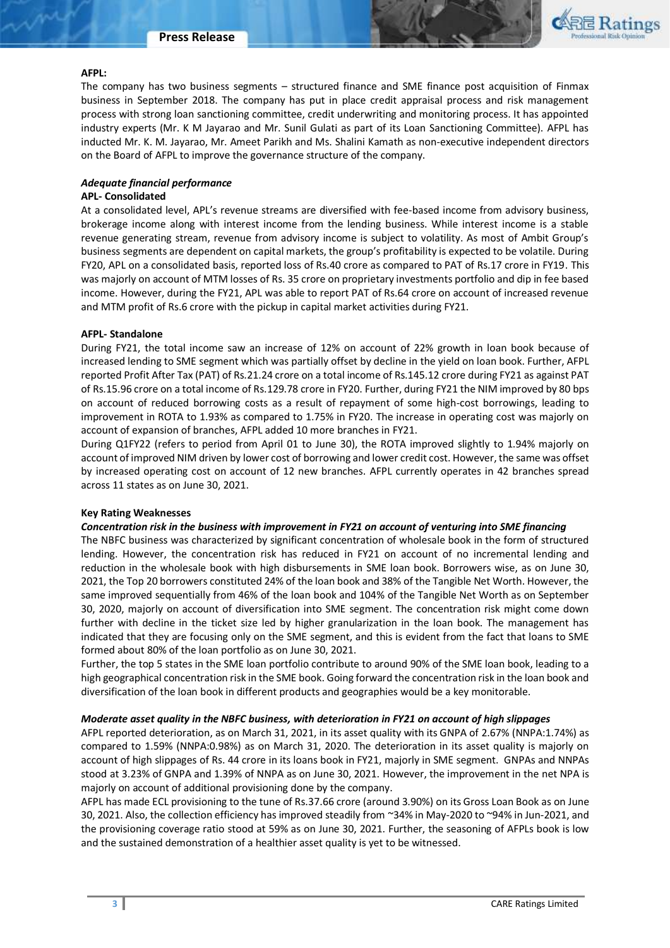

#### **AFPL:**

The company has two business segments – structured finance and SME finance post acquisition of Finmax business in September 2018. The company has put in place credit appraisal process and risk management process with strong loan sanctioning committee, credit underwriting and monitoring process. It has appointed industry experts (Mr. K M Jayarao and Mr. Sunil Gulati as part of its Loan Sanctioning Committee). AFPL has inducted Mr. K. M. Jayarao, Mr. Ameet Parikh and Ms. Shalini Kamath as non-executive independent directors on the Board of AFPL to improve the governance structure of the company.

## *Adequate financial performance*

## **APL- Consolidated**

At a consolidated level, APL's revenue streams are diversified with fee-based income from advisory business, brokerage income along with interest income from the lending business. While interest income is a stable revenue generating stream, revenue from advisory income is subject to volatility. As most of Ambit Group's business segments are dependent on capital markets, the group's profitability is expected to be volatile. During FY20, APL on a consolidated basis, reported loss of Rs.40 crore as compared to PAT of Rs.17 crore in FY19. This was majorly on account of MTM losses of Rs. 35 crore on proprietary investments portfolio and dip in fee based income. However, during the FY21, APL was able to report PAT of Rs.64 crore on account of increased revenue and MTM profit of Rs.6 crore with the pickup in capital market activities during FY21.

## **AFPL- Standalone**

During FY21, the total income saw an increase of 12% on account of 22% growth in loan book because of increased lending to SME segment which was partially offset by decline in the yield on loan book. Further, AFPL reported Profit After Tax (PAT) of Rs.21.24 crore on a total income of Rs.145.12 crore during FY21 as against PAT of Rs.15.96 crore on a total income of Rs.129.78 crore in FY20. Further, during FY21 the NIM improved by 80 bps on account of reduced borrowing costs as a result of repayment of some high-cost borrowings, leading to improvement in ROTA to 1.93% as compared to 1.75% in FY20. The increase in operating cost was majorly on account of expansion of branches, AFPL added 10 more branches in FY21.

During Q1FY22 (refers to period from April 01 to June 30), the ROTA improved slightly to 1.94% majorly on account of improved NIM driven by lower cost of borrowing and lower credit cost. However, the same was offset by increased operating cost on account of 12 new branches. AFPL currently operates in 42 branches spread across 11 states as on June 30, 2021.

## **Key Rating Weaknesses**

#### *Concentration risk in the business with improvement in FY21 on account of venturing into SME financing*

The NBFC business was characterized by significant concentration of wholesale book in the form of structured lending. However, the concentration risk has reduced in FY21 on account of no incremental lending and reduction in the wholesale book with high disbursements in SME loan book. Borrowers wise, as on June 30, 2021, the Top 20 borrowers constituted 24% of the loan book and 38% of the Tangible Net Worth. However, the same improved sequentially from 46% of the loan book and 104% of the Tangible Net Worth as on September 30, 2020, majorly on account of diversification into SME segment. The concentration risk might come down further with decline in the ticket size led by higher granularization in the loan book. The management has indicated that they are focusing only on the SME segment, and this is evident from the fact that loans to SME formed about 80% of the loan portfolio as on June 30, 2021.

Further, the top 5 states in the SME loan portfolio contribute to around 90% of the SME loan book, leading to a high geographical concentration risk in the SME book. Going forward the concentration risk in the loan book and diversification of the loan book in different products and geographies would be a key monitorable.

## *Moderate asset quality in the NBFC business, with deterioration in FY21 on account of high slippages*

AFPL reported deterioration, as on March 31, 2021, in its asset quality with its GNPA of 2.67% (NNPA:1.74%) as compared to 1.59% (NNPA:0.98%) as on March 31, 2020. The deterioration in its asset quality is majorly on account of high slippages of Rs. 44 crore in its loans book in FY21, majorly in SME segment. GNPAs and NNPAs stood at 3.23% of GNPA and 1.39% of NNPA as on June 30, 2021. However, the improvement in the net NPA is majorly on account of additional provisioning done by the company.

AFPL has made ECL provisioning to the tune of Rs.37.66 crore (around 3.90%) on its Gross Loan Book as on June 30, 2021. Also, the collection efficiency has improved steadily from ~34% in May-2020 to ~94% in Jun-2021, and the provisioning coverage ratio stood at 59% as on June 30, 2021. Further, the seasoning of AFPLs book is low and the sustained demonstration of a healthier asset quality is yet to be witnessed.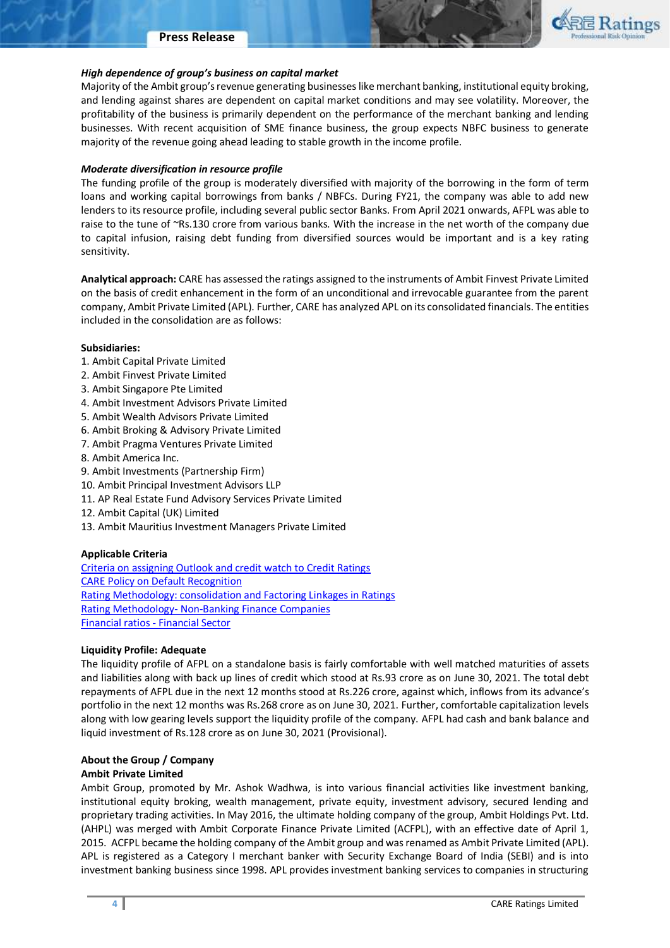#### **Press Release**



#### *High dependence of group's business on capital market*

Majority of the Ambit group's revenue generating businesses like merchant banking, institutional equity broking, and lending against shares are dependent on capital market conditions and may see volatility. Moreover, the profitability of the business is primarily dependent on the performance of the merchant banking and lending businesses. With recent acquisition of SME finance business, the group expects NBFC business to generate majority of the revenue going ahead leading to stable growth in the income profile.

#### *Moderate diversification in resource profile*

The funding profile of the group is moderately diversified with majority of the borrowing in the form of term loans and working capital borrowings from banks / NBFCs. During FY21, the company was able to add new lenders to its resource profile, including several public sector Banks. From April 2021 onwards, AFPL was able to raise to the tune of ~Rs.130 crore from various banks. With the increase in the net worth of the company due to capital infusion, raising debt funding from diversified sources would be important and is a key rating sensitivity.

**Analytical approach:** CARE has assessed the ratings assigned to the instruments of Ambit Finvest Private Limited on the basis of credit enhancement in the form of an unconditional and irrevocable guarantee from the parent company, Ambit Private Limited (APL). Further, CARE has analyzed APL on its consolidated financials. The entities included in the consolidation are as follows:

#### **Subsidiaries:**

- 1. Ambit Capital Private Limited
- 2. Ambit Finvest Private Limited
- 3. Ambit Singapore Pte Limited
- 4. Ambit Investment Advisors Private Limited
- 5. Ambit Wealth Advisors Private Limited
- 6. Ambit Broking & Advisory Private Limited
- 7. Ambit Pragma Ventures Private Limited
- 8. Ambit America Inc.
- 9. Ambit Investments (Partnership Firm)
- 10. Ambit Principal Investment Advisors LLP
- 11. AP Real Estate Fund Advisory Services Private Limited
- 12. Ambit Capital (UK) Limited
- 13. Ambit Mauritius Investment Managers Private Limited

#### **Applicable Criteria**

[Criteria on assigning Outlook and credit watch to Credit Ratings](http://www.careratings.com/upload/NewsFiles/GetRated/Outlook%20Criteria.pdf) [CARE Policy on Default Recognition](http://www.careratings.com/pdf/resources/CAREPolicyonDefaultRecognition.pdf) [Rating Methodology: consolidation and Factoring Linkages in Ratings](http://www.careratings.com/upload/NewsFiles/GetRated/RatingMethodology-FactoringLinkagesinRatings27June2017.pdf)  Rating Methodology- [Non-Banking Finance Companies](http://www.careratings.com/upload/NewsFiles/GetRated/Rating%20Methodology%20-%20NBFCs27June2017.pdf) [Financial ratios -](http://www.careratings.com/pdf/resources/Ratios%20-%20Financial%20Sector.pdf) Financial Sector

#### **Liquidity Profile: Adequate**

The liquidity profile of AFPL on a standalone basis is fairly comfortable with well matched maturities of assets and liabilities along with back up lines of credit which stood at Rs.93 crore as on June 30, 2021. The total debt repayments of AFPL due in the next 12 months stood at Rs.226 crore, against which, inflows from its advance's portfolio in the next 12 months was Rs.268 crore as on June 30, 2021. Further, comfortable capitalization levels along with low gearing levels support the liquidity profile of the company. AFPL had cash and bank balance and liquid investment of Rs.128 crore as on June 30, 2021 (Provisional).

### **About the Group / Company**

### **Ambit Private Limited**

Ambit Group, promoted by Mr. Ashok Wadhwa, is into various financial activities like investment banking, institutional equity broking, wealth management, private equity, investment advisory, secured lending and proprietary trading activities. In May 2016, the ultimate holding company of the group, Ambit Holdings Pvt. Ltd. (AHPL) was merged with Ambit Corporate Finance Private Limited (ACFPL), with an effective date of April 1, 2015. ACFPL became the holding company of the Ambit group and was renamed as Ambit Private Limited (APL). APL is registered as a Category I merchant banker with Security Exchange Board of India (SEBI) and is into investment banking business since 1998. APL provides investment banking services to companies in structuring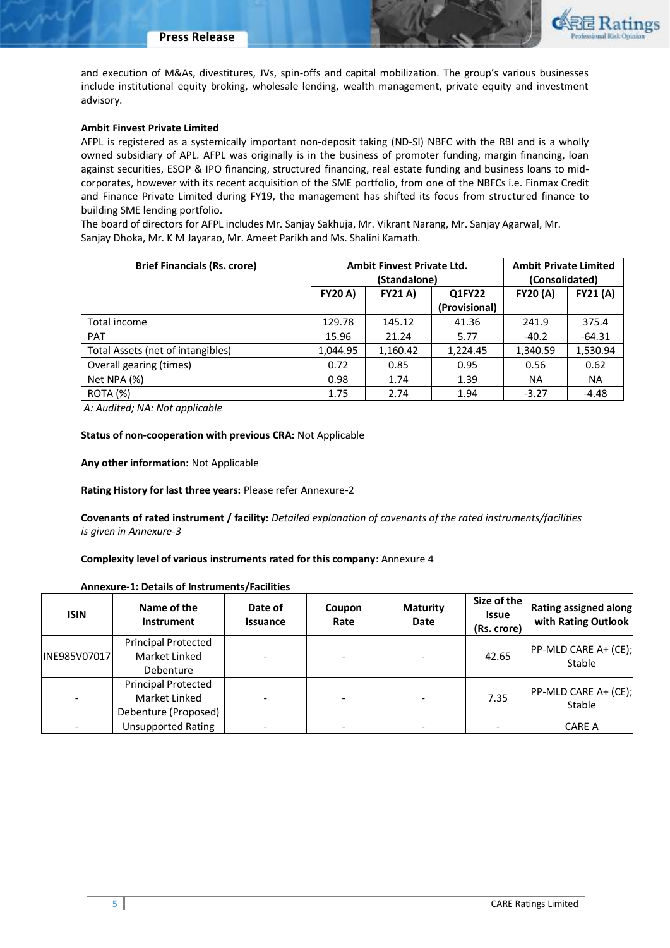

and execution of M&As, divestitures, JVs, spin-offs and capital mobilization. The group's various businesses include institutional equity broking, wholesale lending, wealth management, private equity and investment advisory.

## **Ambit Finvest Private Limited**

AFPL is registered as a systemically important non-deposit taking (ND-SI) NBFC with the RBI and is a wholly owned subsidiary of APL. AFPL was originally is in the business of promoter funding, margin financing, loan against securities, ESOP & IPO financing, structured financing, real estate funding and business loans to midcorporates, however with its recent acquisition of the SME portfolio, from one of the NBFCs i.e. Finmax Credit and Finance Private Limited during FY19, the management has shifted its focus from structured finance to building SME lending portfolio.

The board of directors for AFPL includes Mr. Sanjay Sakhuja, Mr. Vikrant Narang, Mr. Sanjay Agarwal, Mr. Sanjay Dhoka, Mr. K M Jayarao, Mr. Ameet Parikh and Ms. Shalini Kamath.

| <b>Brief Financials (Rs. crore)</b> |                | <b>Ambit Finvest Private Ltd.</b><br>(Standalone) | <b>Ambit Private Limited</b><br>(Consolidated) |                 |                 |
|-------------------------------------|----------------|---------------------------------------------------|------------------------------------------------|-----------------|-----------------|
|                                     | <b>FY20 A)</b> | <b>FY21 A)</b>                                    | Q1FY22                                         | <b>FY20 (A)</b> | <b>FY21 (A)</b> |
|                                     |                |                                                   | (Provisional)                                  |                 |                 |
| Total income                        | 129.78         | 145.12                                            | 41.36                                          | 241.9           | 375.4           |
| <b>PAT</b>                          | 15.96          | 21.24                                             | 5.77                                           | $-40.2$         | $-64.31$        |
| Total Assets (net of intangibles)   | 1,044.95       | 1,160.42                                          | 1,224.45                                       | 1,340.59        | 1,530.94        |
| Overall gearing (times)             | 0.72           | 0.85                                              | 0.95                                           | 0.56            | 0.62            |
| Net NPA (%)                         | 0.98           | 1.74                                              | 1.39                                           | <b>NA</b>       | <b>NA</b>       |
| <b>ROTA (%)</b>                     | 1.75           | 2.74                                              | 1.94                                           | $-3.27$         | $-4.48$         |

*A: Audited; NA: Not applicable*

#### **Status of non-cooperation with previous CRA:** Not Applicable

**Any other information:** Not Applicable

**Rating History for last three years:** Please refer Annexure-2

**Covenants of rated instrument / facility:** *Detailed explanation of covenants of the rated instruments/facilities is given in Annexure-3*

**Complexity level of various instruments rated for this company**: Annexure 4

| Annexure-1: Details of Instruments/Facilities |  |  |  |  |  |  |
|-----------------------------------------------|--|--|--|--|--|--|
|-----------------------------------------------|--|--|--|--|--|--|

| <b>ISIN</b>  | Name of the<br><b>Instrument</b>                                    | Date of<br><b>Issuance</b> | Coupon<br>Rate | <b>Maturity</b><br>Date | Size of the<br><b>Issue</b><br>(Rs. crore) | Rating assigned along<br>with Rating Outlook |
|--------------|---------------------------------------------------------------------|----------------------------|----------------|-------------------------|--------------------------------------------|----------------------------------------------|
| INE985V07017 | <b>Principal Protected</b><br>Market Linked<br>Debenture            |                            |                |                         | 42.65                                      | PP-MLD CARE A+ (CE);<br>Stable               |
|              | <b>Principal Protected</b><br>Market Linked<br>Debenture (Proposed) |                            |                |                         | 7.35                                       | PP-MLD CARE A+ (CE);<br>Stable               |
|              | <b>Unsupported Rating</b>                                           |                            |                |                         |                                            | CARE A                                       |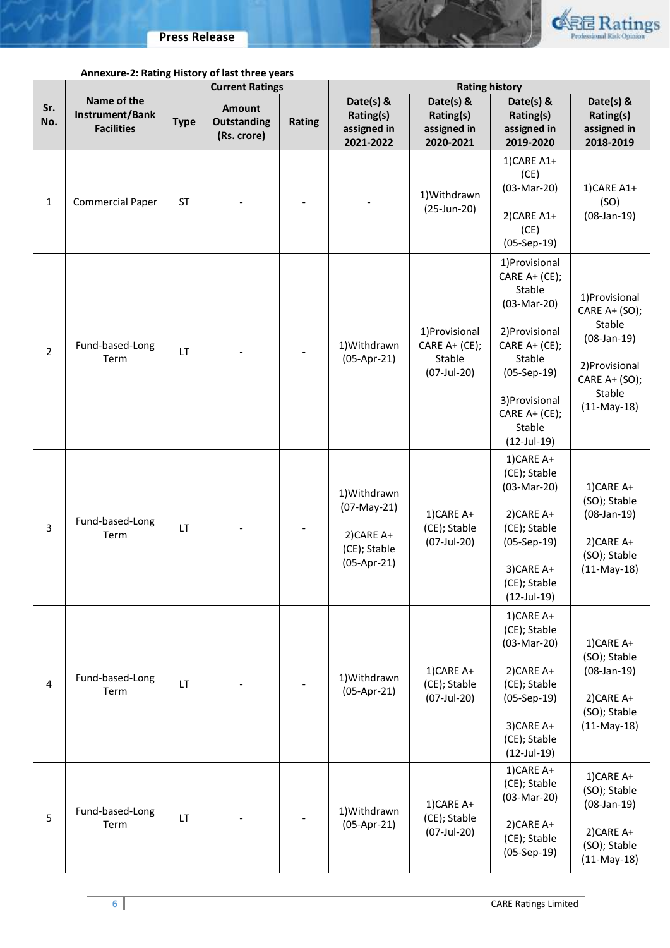

ma

|                |                                                     |             | <b>Current Ratings</b>                      |        |                                                                             | <b>Rating history</b>                                    |                                                                                                                                                                                       |                                                                                                                          |
|----------------|-----------------------------------------------------|-------------|---------------------------------------------|--------|-----------------------------------------------------------------------------|----------------------------------------------------------|---------------------------------------------------------------------------------------------------------------------------------------------------------------------------------------|--------------------------------------------------------------------------------------------------------------------------|
| Sr.<br>No.     | Name of the<br>Instrument/Bank<br><b>Facilities</b> | <b>Type</b> | Amount<br><b>Outstanding</b><br>(Rs. crore) | Rating | Date(s) &<br>Rating(s)<br>assigned in<br>2021-2022                          | Date(s) &<br>Rating(s)<br>assigned in<br>2020-2021       | Date(s) &<br>Rating(s)<br>assigned in<br>2019-2020                                                                                                                                    | Date(s) &<br>Rating(s)<br>assigned in<br>2018-2019                                                                       |
| $\mathbf{1}$   | <b>Commercial Paper</b>                             | <b>ST</b>   |                                             |        |                                                                             | 1) Withdrawn<br>(25-Jun-20)                              | 1)CARE A1+<br>(CE)<br>(03-Mar-20)<br>2) CARE A1+<br>(CE)<br>$(05-Sep-19)$                                                                                                             | 1)CARE A1+<br>(SO)<br>$(08-Jan-19)$                                                                                      |
| $\overline{2}$ | Fund-based-Long<br>Term                             | LT          |                                             |        | 1) Withdrawn<br>$(05-Apr-21)$                                               | 1) Provisional<br>CARE A+ (CE);<br>Stable<br>(07-Jul-20) | 1) Provisional<br>CARE A+ (CE);<br>Stable<br>(03-Mar-20)<br>2) Provisional<br>CARE A+ (CE);<br>Stable<br>$(05-Sep-19)$<br>3) Provisional<br>CARE A+ (CE);<br>Stable<br>$(12$ -Jul-19) | 1) Provisional<br>CARE A+ (SO);<br>Stable<br>$(08-Jan-19)$<br>2) Provisional<br>CARE A+ (SO);<br>Stable<br>$(11-May-18)$ |
| $\overline{3}$ | Fund-based-Long<br>Term                             | LT          |                                             |        | 1) Withdrawn<br>$(07-May-21)$<br>2)CARE A+<br>(CE); Stable<br>$(05-Apr-21)$ | 1)CARE A+<br>(CE); Stable<br>(07-Jul-20)                 | 1)CARE A+<br>(CE); Stable<br>(03-Mar-20)<br>2) CARE A+<br>(CE); Stable<br>$(05-Sep-19)$<br>3)CARE A+<br>(CE); Stable<br>$(12$ -Jul-19)                                                | 1)CARE A+<br>(SO); Stable<br>$(08-Jan-19)$<br>2) CARE A+<br>(SO); Stable<br>$(11-May-18)$                                |
| 4              | Fund-based-Long<br>Term                             | <b>LT</b>   |                                             |        | 1) Withdrawn<br>$(05-Apr-21)$                                               | 1)CARE A+<br>(CE); Stable<br>(07-Jul-20)                 | 1)CARE A+<br>(CE); Stable<br>(03-Mar-20)<br>2) CARE A+<br>(CE); Stable<br>$(05-Sep-19)$<br>3) CARE A+<br>(CE); Stable<br>$(12$ -Jul-19)                                               | 1)CARE A+<br>(SO); Stable<br>$(08-Jan-19)$<br>2) CARE A+<br>(SO); Stable<br>$(11-May-18)$                                |
| 5              | Fund-based-Long<br>Term                             | LT          |                                             |        | 1) Withdrawn<br>$(05-Apr-21)$                                               | 1)CARE A+<br>(CE); Stable<br>(07-Jul-20)                 | 1)CARE A+<br>(CE); Stable<br>(03-Mar-20)<br>2) CARE A+<br>(CE); Stable<br>$(05-Sep-19)$                                                                                               | 1)CARE A+<br>(SO); Stable<br>$(08-Jan-19)$<br>2) CARE A+<br>(SO); Stable<br>$(11-May-18)$                                |

# **Annexure-2: Rating History of last three years**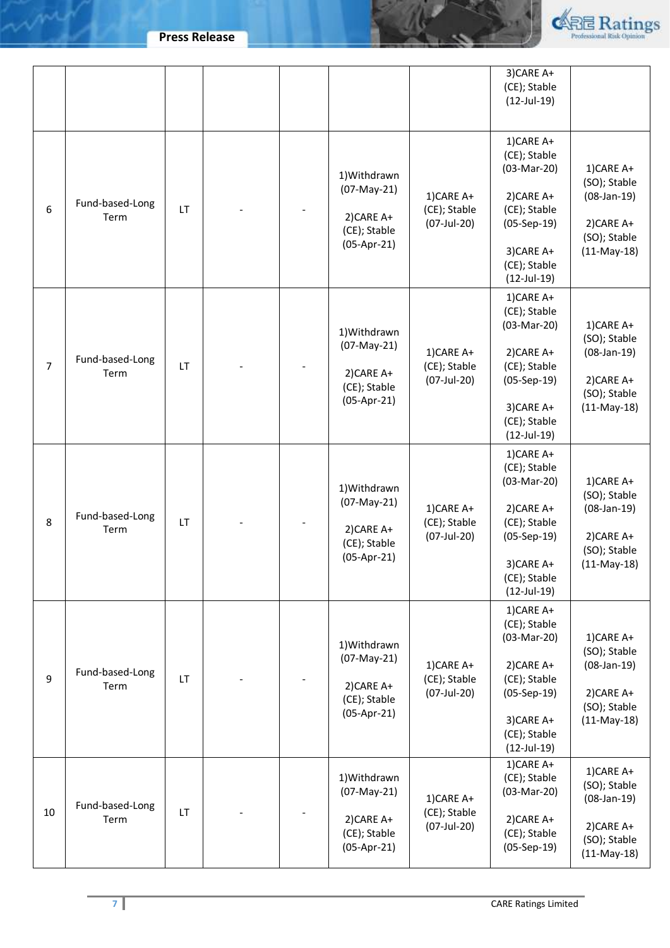**Press Release**

may



|                |                         |    |  |                                                                            |                                          | 3) CARE A+<br>(CE); Stable<br>$(12$ -Jul-19)                                                                                            |                                                                                           |
|----------------|-------------------------|----|--|----------------------------------------------------------------------------|------------------------------------------|-----------------------------------------------------------------------------------------------------------------------------------------|-------------------------------------------------------------------------------------------|
| 6              | Fund-based-Long<br>Term | LT |  | 1) Withdrawn<br>(07-May-21)<br>2) CARE A+<br>(CE); Stable<br>$(05-Apr-21)$ | 1)CARE A+<br>(CE); Stable<br>(07-Jul-20) | 1)CARE A+<br>(CE); Stable<br>(03-Mar-20)<br>2) CARE A+<br>(CE); Stable<br>$(05-Sep-19)$<br>3) CARE A+<br>(CE); Stable<br>$(12$ -Jul-19) | 1)CARE A+<br>(SO); Stable<br>$(08-Jan-19)$<br>2) CARE A+<br>(SO); Stable<br>$(11-May-18)$ |
| $\overline{7}$ | Fund-based-Long<br>Term | LT |  | 1) Withdrawn<br>(07-May-21)<br>2) CARE A+<br>(CE); Stable<br>$(05-Apr-21)$ | 1)CARE A+<br>(CE); Stable<br>(07-Jul-20) | 1)CARE A+<br>(CE); Stable<br>(03-Mar-20)<br>2) CARE A+<br>(CE); Stable<br>$(05-Sep-19)$<br>3) CARE A+<br>(CE); Stable<br>$(12$ -Jul-19) | 1)CARE A+<br>(SO); Stable<br>$(08-Jan-19)$<br>2) CARE A+<br>(SO); Stable<br>$(11-May-18)$ |
| 8              | Fund-based-Long<br>Term | LT |  | 1) Withdrawn<br>(07-May-21)<br>2) CARE A+<br>(CE); Stable<br>$(05-Apr-21)$ | 1)CARE A+<br>(CE); Stable<br>(07-Jul-20) | 1)CARE A+<br>(CE); Stable<br>(03-Mar-20)<br>2) CARE A+<br>(CE); Stable<br>$(05-Sep-19)$<br>3) CARE A+<br>(CE); Stable<br>$(12$ -Jul-19) | 1)CARE A+<br>(SO); Stable<br>$(08-Jan-19)$<br>2) CARE A+<br>(SO); Stable<br>$(11-May-18)$ |
| 9              | Fund-based-Long<br>Term | LT |  | 1) Withdrawn<br>(07-May-21)<br>2) CARE A+<br>(CE); Stable<br>$(05-Apr-21)$ | 1)CARE A+<br>(CE); Stable<br>(07-Jul-20) | 1)CARE A+<br>(CE); Stable<br>(03-Mar-20)<br>2) CARE A+<br>(CE); Stable<br>$(05-Sep-19)$<br>3) CARE A+<br>(CE); Stable<br>$(12$ -Jul-19) | 1)CARE A+<br>(SO); Stable<br>$(08-Jan-19)$<br>2) CARE A+<br>(SO); Stable<br>$(11-May-18)$ |
| 10             | Fund-based-Long<br>Term | LT |  | 1) Withdrawn<br>(07-May-21)<br>2) CARE A+<br>(CE); Stable<br>$(05-Apr-21)$ | 1)CARE A+<br>(CE); Stable<br>(07-Jul-20) | 1)CARE A+<br>(CE); Stable<br>(03-Mar-20)<br>2) CARE A+<br>(CE); Stable<br>$(05-Sep-19)$                                                 | 1)CARE A+<br>(SO); Stable<br>$(08-Jan-19)$<br>2) CARE A+<br>(SO); Stable<br>$(11-May-18)$ |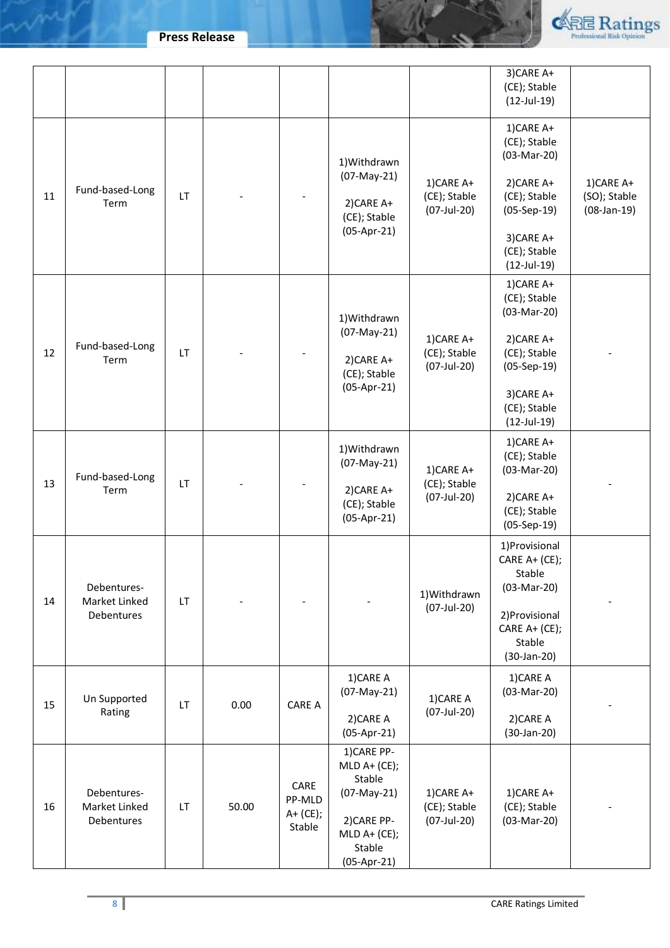**Press Release**

may



|    |                                            |    |       |                                      |                                                                                                                  |                                           | 3) CARE A+<br>(CE); Stable<br>$(12$ -Jul-19)             |                                            |
|----|--------------------------------------------|----|-------|--------------------------------------|------------------------------------------------------------------------------------------------------------------|-------------------------------------------|----------------------------------------------------------|--------------------------------------------|
|    |                                            |    |       |                                      | 1) Withdrawn                                                                                                     |                                           | 1)CARE A+<br>(CE); Stable<br>(03-Mar-20)                 |                                            |
| 11 | Fund-based-Long<br>Term                    | LT |       |                                      | $(07-May-21)$<br>2) CARE A+<br>(CE); Stable                                                                      | 1)CARE A+<br>(CE); Stable<br>(07-Jul-20)  | 2) CARE A+<br>(CE); Stable<br>$(05-Sep-19)$              | 1)CARE A+<br>(SO); Stable<br>$(08-Jan-19)$ |
|    |                                            |    |       |                                      | $(05-Apr-21)$                                                                                                    |                                           | 3) CARE A+<br>(CE); Stable<br>$(12$ -Jul-19)             |                                            |
|    |                                            |    |       |                                      | 1) Withdrawn                                                                                                     |                                           | 1)CARE A+<br>(CE); Stable<br>(03-Mar-20)                 |                                            |
| 12 | Fund-based-Long<br>Term                    | LT |       |                                      | $(07-May-21)$<br>2) CARE A+<br>(CE); Stable                                                                      | 1)CARE A+<br>(CE); Stable<br>(07-Jul-20)  | 2) CARE A+<br>(CE); Stable<br>$(05-Sep-19)$              |                                            |
|    |                                            |    |       |                                      | $(05-Apr-21)$                                                                                                    |                                           | 3) CARE A+<br>(CE); Stable<br>$(12$ -Jul-19)             |                                            |
| 13 | Fund-based-Long                            | LT |       |                                      | 1) Withdrawn<br>$(07-May-21)$                                                                                    | 1)CARE A+<br>(CE); Stable<br>(07-Jul-20)  | 1)CARE A+<br>(CE); Stable<br>(03-Mar-20)                 |                                            |
|    | Term                                       |    |       |                                      | 2) CARE A+<br>(CE); Stable<br>$(05-Apr-21)$                                                                      |                                           | 2) CARE A+<br>(CE); Stable<br>$(05-Sep-19)$              |                                            |
|    | Debentures-                                |    |       |                                      |                                                                                                                  | 1) Withdrawn                              | 1) Provisional<br>CARE A+ (CE);<br>Stable<br>(03-Mar-20) |                                            |
| 14 | Market Linked<br>Debentures                | LT |       |                                      |                                                                                                                  | (07-Jul-20)                               | 2) Provisional<br>CARE A+ (CE);<br>Stable<br>(30-Jan-20) |                                            |
| 15 | Un Supported                               | LT | 0.00  | <b>CARE A</b>                        | 1) CARE A<br>$(07-May-21)$                                                                                       | 1)CARE A<br>(07-Jul-20)                   | 1) CARE A<br>$(03-Mar-20)$                               |                                            |
|    | Rating                                     |    |       |                                      | 2) CARE A<br>$(05-Apr-21)$                                                                                       |                                           | 2) CARE A<br>(30-Jan-20)                                 |                                            |
| 16 | Debentures-<br>Market Linked<br>Debentures | LT | 50.00 | CARE<br>PP-MLD<br>A+ (CE);<br>Stable | 1) CARE PP-<br>$MLD A+ (CE);$<br>Stable<br>(07-May-21)<br>2) CARE PP-<br>$MLD A+ (CE);$<br>Stable<br>(05-Apr-21) | 1) CARE A+<br>(CE); Stable<br>(07-Jul-20) | 1)CARE A+<br>(CE); Stable<br>(03-Mar-20)                 |                                            |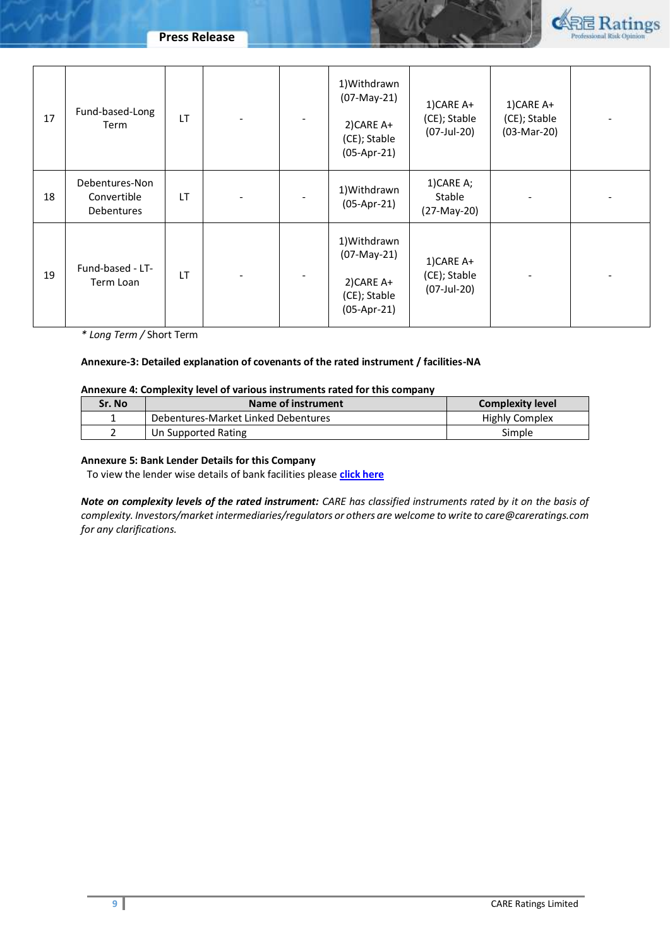

| 17 | Fund-based-Long<br>Term                     | LT |  | 1) Withdrawn<br>(07-May-21)<br>2) CARE A+<br>(CE); Stable<br>$(05-Apr-21)$ | 1) CARE A+<br>(CE); Stable<br>(07-Jul-20)   | 1)CARE A+<br>(CE); Stable<br>(03-Mar-20) |  |
|----|---------------------------------------------|----|--|----------------------------------------------------------------------------|---------------------------------------------|------------------------------------------|--|
| 18 | Debentures-Non<br>Convertible<br>Debentures | LT |  | 1) Withdrawn<br>$(05-Apr-21)$                                              | 1) CARE A;<br>Stable<br>$(27-May-20)$       |                                          |  |
| 19 | Fund-based - LT-<br>Term Loan               | LT |  | 1) Withdrawn<br>(07-May-21)<br>2) CARE A+<br>(CE); Stable<br>$(05-Apr-21)$ | 1)CARE A+<br>(CE); Stable<br>$(07$ -Jul-20) |                                          |  |

*\* Long Term /* Short Term

### **Annexure-3: Detailed explanation of covenants of the rated instrument / facilities-NA**

### **Annexure 4: Complexity level of various instruments rated for this company**

| Sr. No | Name of instrument                  | <b>Complexity level</b> |
|--------|-------------------------------------|-------------------------|
|        | Debentures-Market Linked Debentures | <b>Highly Complex</b>   |
|        | Un Supported Rating                 | Simple                  |

### **Annexure 5: Bank Lender Details for this Company**

To view the lender wise details of bank facilities please **[click here](https://www.careratings.com/Bankdetails.aspx?Id=FdmdAy14uX22fbnC07CHDw==)**

*Note on complexity levels of the rated instrument: CARE has classified instruments rated by it on the basis of complexity. Investors/market intermediaries/regulators or others are welcome to write to care@careratings.com for any clarifications.*